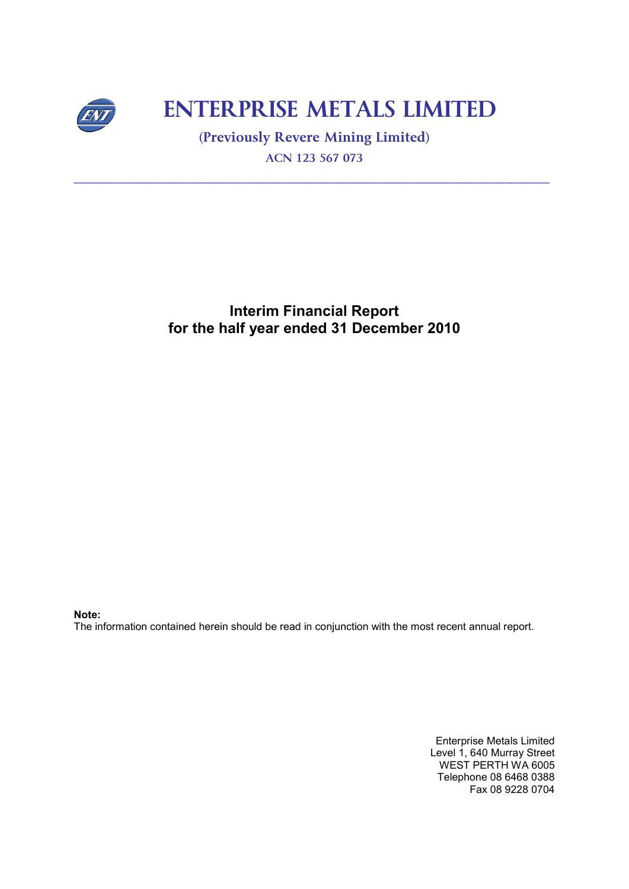

# **ENTERPRISE METALS LIMITED**

**(Previously Revere Mining Limited) ACN 123 567 073** 

**\_\_\_\_\_\_\_\_\_\_\_\_\_\_\_\_\_\_\_\_\_\_\_\_\_\_\_\_\_\_\_\_\_\_\_\_\_\_\_\_\_\_\_\_\_\_\_\_\_\_\_\_\_\_\_\_\_\_\_\_\_\_\_\_\_\_\_\_\_\_\_\_\_\_\_\_\_\_\_\_\_\_\_\_\_**

# **Interim Financial Report for the half year ended 31 December 2010**

**Note:** 

The information contained herein should be read in conjunction with the most recent annual report.

Enterprise Metals Limited Level 1, 640 Murray Street WEST PERTH WA 6005 Telephone 08 6468 0388 Fax 08 9228 0704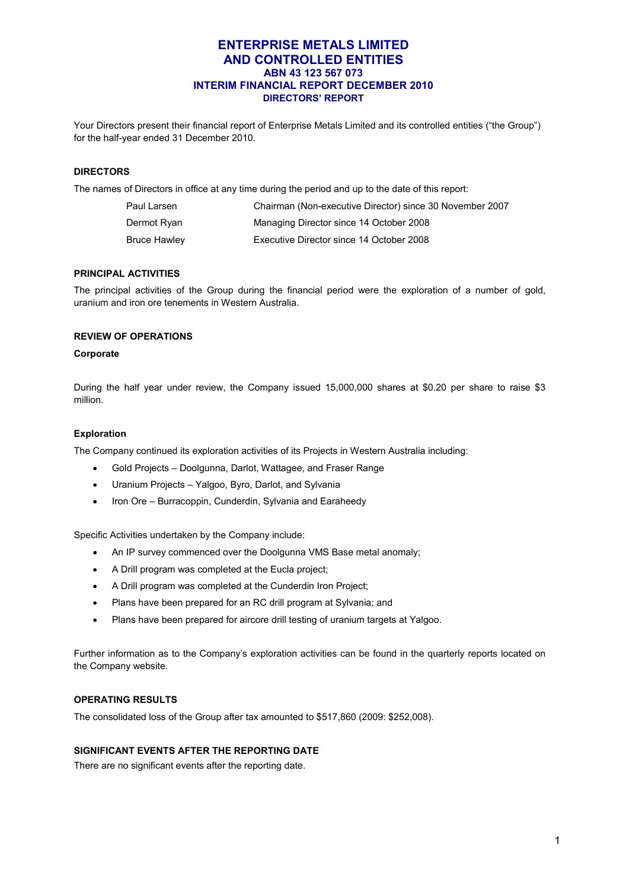# **ENTERPRISE METALS LIMITED AND CONTROLLED ENTITIES ABN 43 123 567 073 INTERIM FINANCIAL REPORT DECEMBER 2010 DIRECTORS' REPORT**

Your Directors present their financial report of Enterprise Metals Limited and its controlled entities ("the Group") for the half-year ended 31 December 2010.

#### **DIRECTORS**

The names of Directors in office at any time during the period and up to the date of this report:

| Paul Larsen         | Chairman (Non-executive Director) since 30 November 2007 |
|---------------------|----------------------------------------------------------|
| Dermot Ryan         | Managing Director since 14 October 2008                  |
| <b>Bruce Hawley</b> | Executive Director since 14 October 2008                 |

# **PRINCIPAL ACTIVITIES**

The principal activities of the Group during the financial period were the exploration of a number of gold, uranium and iron ore tenements in Western Australia.

#### **REVIEW OF OPERATIONS**

#### **Corporate**

During the half year under review, the Company issued 15,000,000 shares at \$0.20 per share to raise \$3 million.

#### **Exploration**

The Company continued its exploration activities of its Projects in Western Australia including:

- Gold Projects Doolgunna, Darlot, Wattagee, and Fraser Range
- Uranium Projects Yalgoo, Byro, Darlot, and Sylvania
- Iron Ore Burracoppin, Cunderdin, Sylvania and Earaheedy

Specific Activities undertaken by the Company include:

- An IP survey commenced over the Doolgunna VMS Base metal anomaly;
- A Drill program was completed at the Eucla project;
- A Drill program was completed at the Cunderdin Iron Project;
- Plans have been prepared for an RC drill program at Sylvania; and
- Plans have been prepared for aircore drill testing of uranium targets at Yalgoo.

Further information as to the Company's exploration activities can be found in the quarterly reports located on the Company website.

# **OPERATING RESULTS**

The consolidated loss of the Group after tax amounted to \$517,860 (2009: \$252,008).

#### **SIGNIFICANT EVENTS AFTER THE REPORTING DATE**

There are no significant events after the reporting date.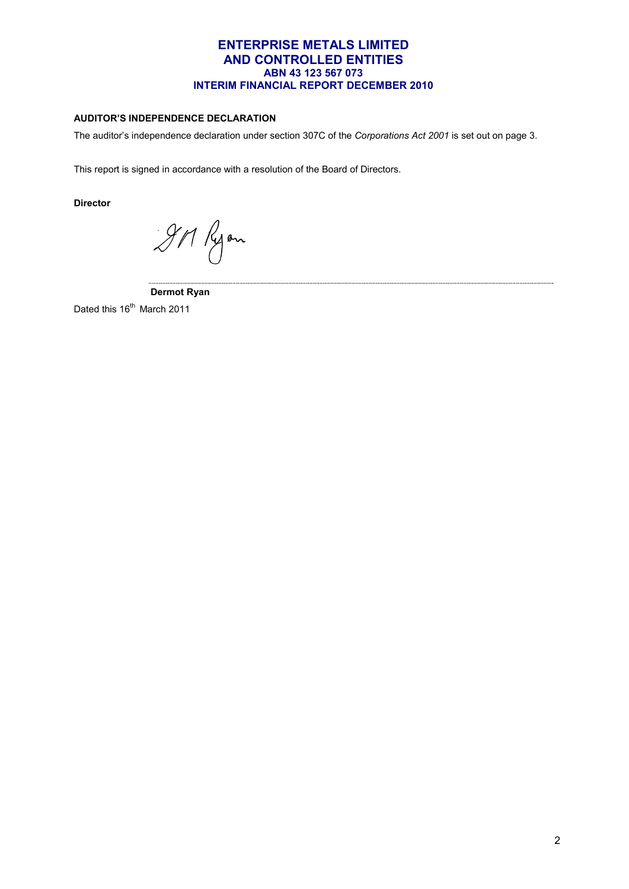# **AUDITOR'S INDEPENDENCE DECLARATION**

The auditor's independence declaration under section 307C of the *Corporations Act 2001* is set out on page 3.

This report is signed in accordance with a resolution of the Board of Directors.

**Director** 

911 Ryon

 **Dermot Ryan** 

Dated this 16<sup>th</sup> March 2011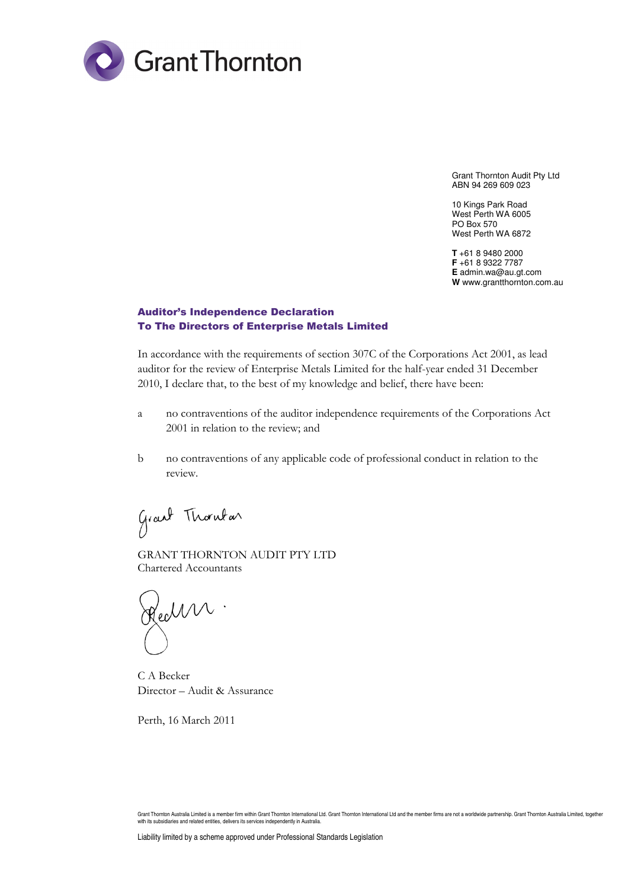

Grant Thornton Audit Pty Ltd ABN 94 269 609 023

10 Kings Park Road West Perth WA 6005 PO Box 570 West Perth WA 6872

**T** +61 8 9480 2000 **F** +61 8 9322 7787 **E** admin.wa@au.gt.com **W** www.grantthornton.com.au

# Auditor's Independence Declaration To The Directors of Enterprise Metals Limited

In accordance with the requirements of section 307C of the Corporations Act 2001, as lead auditor for the review of Enterprise Metals Limited for the half-year ended 31 December 2010, I declare that, to the best of my knowledge and belief, there have been:

- a no contraventions of the auditor independence requirements of the Corporations Act 2001 in relation to the review; and
- b no contraventions of any applicable code of professional conduct in relation to the review.

Grant Thornton

GRANT THORNTON AUDIT PTY LTD Chartered Accountants

Health .

C A Becker Director – Audit & Assurance

Perth, 16 March 2011

Grant Thornton Australia Limited is a member firm within Grant Thornton International Ltd. Grant Thornton International Ltd and the member firms are not a worldwide partnership. Grant Thornton Australia Limited, together with its subsidiaries and related entities, delivers its services independently in Australia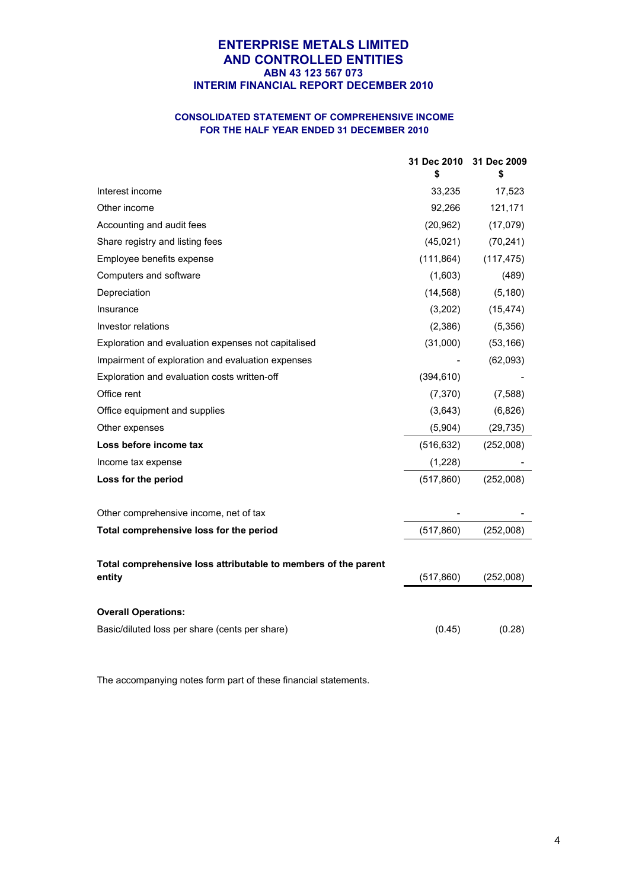# **CONSOLIDATED STATEMENT OF COMPREHENSIVE INCOME FOR THE HALF YEAR ENDED 31 DECEMBER 2010**

|                                                                          | 31 Dec 2010<br>\$ | 31 Dec 2009<br>\$ |
|--------------------------------------------------------------------------|-------------------|-------------------|
| Interest income                                                          | 33,235            | 17,523            |
| Other income                                                             | 92,266            | 121,171           |
| Accounting and audit fees                                                | (20, 962)         | (17,079)          |
| Share registry and listing fees                                          | (45,021)          | (70, 241)         |
| Employee benefits expense                                                | (111, 864)        | (117, 475)        |
| Computers and software                                                   | (1,603)           | (489)             |
| Depreciation                                                             | (14, 568)         | (5, 180)          |
| Insurance                                                                | (3,202)           | (15, 474)         |
| Investor relations                                                       | (2,386)           | (5,356)           |
| Exploration and evaluation expenses not capitalised                      | (31,000)          | (53, 166)         |
| Impairment of exploration and evaluation expenses                        |                   | (62,093)          |
| Exploration and evaluation costs written-off                             | (394, 610)        |                   |
| Office rent                                                              | (7, 370)          | (7,588)           |
| Office equipment and supplies                                            | (3,643)           | (6,826)           |
| Other expenses                                                           | (5,904)           | (29, 735)         |
| Loss before income tax                                                   | (516, 632)        | (252,008)         |
| Income tax expense                                                       | (1,228)           |                   |
| Loss for the period                                                      | (517, 860)        | (252,008)         |
| Other comprehensive income, net of tax                                   |                   |                   |
| Total comprehensive loss for the period                                  | (517, 860)        | (252,008)         |
| Total comprehensive loss attributable to members of the parent<br>entity | (517, 860)        | (252,008)         |
|                                                                          |                   |                   |
| <b>Overall Operations:</b>                                               |                   |                   |
| Basic/diluted loss per share (cents per share)                           | (0.45)            | (0.28)            |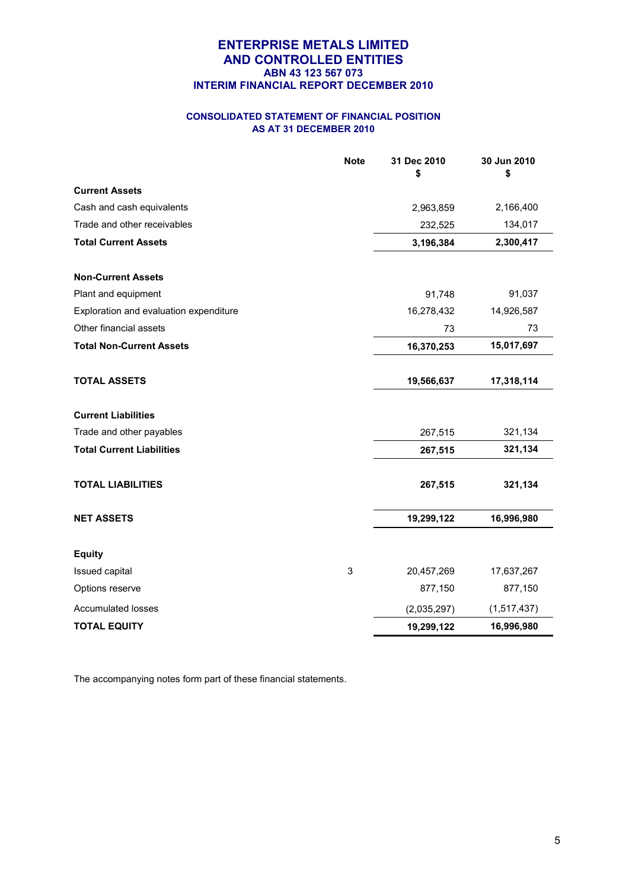# **CONSOLIDATED STATEMENT OF FINANCIAL POSITION AS AT 31 DECEMBER 2010**

|                                        | <b>Note</b> | 31 Dec 2010<br>\$ | 30 Jun 2010<br>\$ |
|----------------------------------------|-------------|-------------------|-------------------|
| <b>Current Assets</b>                  |             |                   |                   |
| Cash and cash equivalents              |             | 2,963,859         | 2,166,400         |
| Trade and other receivables            |             | 232,525           | 134,017           |
| <b>Total Current Assets</b>            |             | 3,196,384         | 2,300,417         |
| <b>Non-Current Assets</b>              |             |                   |                   |
| Plant and equipment                    |             | 91,748            | 91,037            |
| Exploration and evaluation expenditure |             | 16,278,432        | 14,926,587        |
| Other financial assets                 |             | 73                | 73                |
| <b>Total Non-Current Assets</b>        |             | 16,370,253        | 15,017,697        |
| <b>TOTAL ASSETS</b>                    |             | 19,566,637        | 17,318,114        |
| <b>Current Liabilities</b>             |             |                   |                   |
| Trade and other payables               |             | 267,515           | 321,134           |
| <b>Total Current Liabilities</b>       |             | 267,515           | 321,134           |
| <b>TOTAL LIABILITIES</b>               |             | 267,515           | 321,134           |
| <b>NET ASSETS</b>                      |             | 19,299,122        | 16,996,980        |
| <b>Equity</b>                          |             |                   |                   |
| Issued capital                         | 3           | 20,457,269        | 17,637,267        |
| Options reserve                        |             | 877,150           | 877,150           |
| <b>Accumulated losses</b>              |             | (2,035,297)       | (1,517,437)       |
| <b>TOTAL EQUITY</b>                    |             | 19,299,122        | 16,996,980        |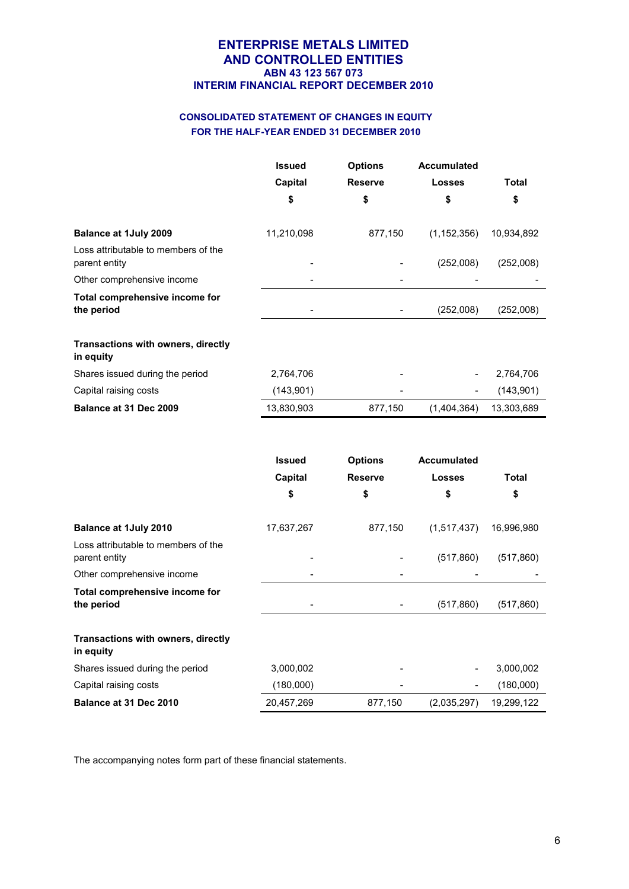# **CONSOLIDATED STATEMENT OF CHANGES IN EQUITY FOR THE HALF-YEAR ENDED 31 DECEMBER 2010**

|                                                        | <b>Issued</b> | <b>Options</b> | <b>Accumulated</b> |            |
|--------------------------------------------------------|---------------|----------------|--------------------|------------|
|                                                        | Capital       | <b>Reserve</b> | <b>Losses</b>      | Total      |
|                                                        | \$            | \$             | \$                 | \$         |
| <b>Balance at 1July 2009</b>                           | 11,210,098    | 877,150        | (1, 152, 356)      | 10,934,892 |
| Loss attributable to members of the<br>parent entity   |               |                | (252,008)          | (252,008)  |
| Other comprehensive income                             |               |                |                    |            |
| Total comprehensive income for<br>the period           |               |                | (252,008)          | (252,008)  |
| <b>Transactions with owners, directly</b><br>in equity |               |                |                    |            |
| Shares issued during the period                        | 2,764,706     |                |                    | 2,764,706  |
| Capital raising costs                                  | (143, 901)    |                |                    | (143, 901) |
| Balance at 31 Dec 2009                                 | 13,830,903    | 877,150        | (1,404,364)        | 13,303,689 |

|                                                      | <b>Issued</b> | <b>Options</b> | <b>Accumulated</b> |              |
|------------------------------------------------------|---------------|----------------|--------------------|--------------|
|                                                      | Capital       | <b>Reserve</b> | <b>Losses</b>      | <b>Total</b> |
|                                                      | \$            | \$             | \$                 | \$           |
| <b>Balance at 1July 2010</b>                         | 17,637,267    | 877,150        | (1,517,437)        | 16,996,980   |
| Loss attributable to members of the<br>parent entity |               |                | (517, 860)         | (517, 860)   |
| Other comprehensive income                           |               |                |                    |              |
| Total comprehensive income for<br>the period         |               |                | (517, 860)         | (517,860)    |
| Transactions with owners, directly<br>in equity      |               |                |                    |              |
| Shares issued during the period                      | 3,000,002     |                |                    | 3,000,002    |
| Capital raising costs                                | (180,000)     |                |                    | (180,000)    |
| Balance at 31 Dec 2010                               | 20,457,269    | 877,150        | (2,035,297)        | 19,299,122   |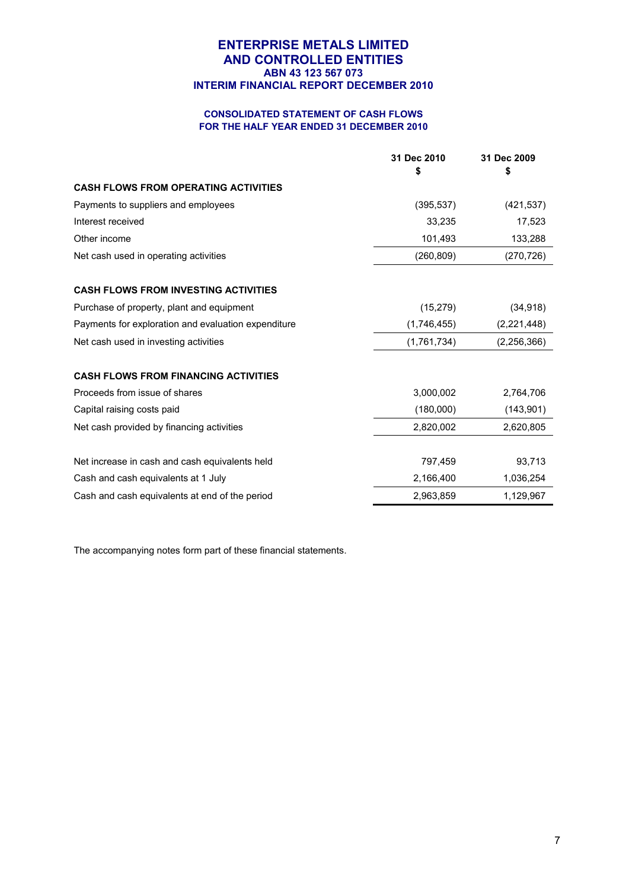# **CONSOLIDATED STATEMENT OF CASH FLOWS FOR THE HALF YEAR ENDED 31 DECEMBER 2010**

|                                                     | 31 Dec 2010<br>\$ | 31 Dec 2009<br>\$ |
|-----------------------------------------------------|-------------------|-------------------|
| <b>CASH FLOWS FROM OPERATING ACTIVITIES</b>         |                   |                   |
| Payments to suppliers and employees                 | (395, 537)        | (421, 537)        |
| Interest received                                   | 33,235            | 17,523            |
| Other income                                        | 101,493           | 133,288           |
| Net cash used in operating activities               | (260, 809)        | (270, 726)        |
| <b>CASH FLOWS FROM INVESTING ACTIVITIES</b>         |                   |                   |
| Purchase of property, plant and equipment           | (15, 279)         | (34, 918)         |
| Payments for exploration and evaluation expenditure | (1,746,455)       | (2,221,448)       |
| Net cash used in investing activities               | (1,761,734)       | (2,256,366)       |
| <b>CASH FLOWS FROM FINANCING ACTIVITIES</b>         |                   |                   |
| Proceeds from issue of shares                       | 3,000,002         | 2,764,706         |
| Capital raising costs paid                          | (180,000)         | (143, 901)        |
| Net cash provided by financing activities           | 2,820,002         | 2,620,805         |
| Net increase in cash and cash equivalents held      | 797,459           | 93,713            |
| Cash and cash equivalents at 1 July                 | 2,166,400         | 1,036,254         |
| Cash and cash equivalents at end of the period      | 2,963,859         | 1,129,967         |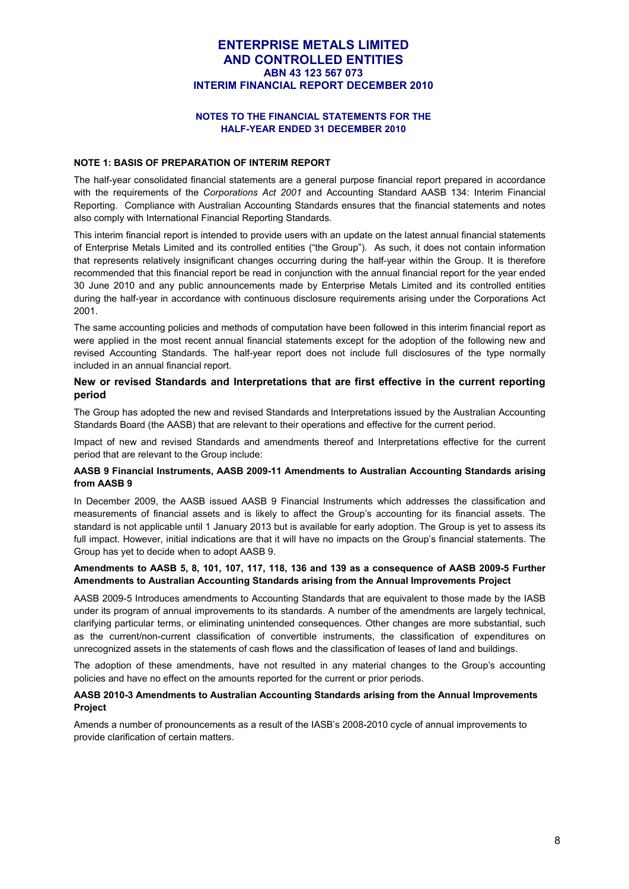#### **NOTES TO THE FINANCIAL STATEMENTS FOR THE HALF-YEAR ENDED 31 DECEMBER 2010**

#### **NOTE 1: BASIS OF PREPARATION OF INTERIM REPORT**

The half-year consolidated financial statements are a general purpose financial report prepared in accordance with the requirements of the *Corporations Act 2001* and Accounting Standard AASB 134: Interim Financial Reporting. Compliance with Australian Accounting Standards ensures that the financial statements and notes also comply with International Financial Reporting Standards.

This interim financial report is intended to provide users with an update on the latest annual financial statements of Enterprise Metals Limited and its controlled entities ("the Group"). As such, it does not contain information that represents relatively insignificant changes occurring during the half-year within the Group. It is therefore recommended that this financial report be read in conjunction with the annual financial report for the year ended 30 June 2010 and any public announcements made by Enterprise Metals Limited and its controlled entities during the half-year in accordance with continuous disclosure requirements arising under the Corporations Act 2001.

The same accounting policies and methods of computation have been followed in this interim financial report as were applied in the most recent annual financial statements except for the adoption of the following new and revised Accounting Standards. The half-year report does not include full disclosures of the type normally included in an annual financial report.

#### **New or revised Standards and Interpretations that are first effective in the current reporting period**

The Group has adopted the new and revised Standards and Interpretations issued by the Australian Accounting Standards Board (the AASB) that are relevant to their operations and effective for the current period.

Impact of new and revised Standards and amendments thereof and Interpretations effective for the current period that are relevant to the Group include:

#### **AASB 9 Financial Instruments, AASB 2009-11 Amendments to Australian Accounting Standards arising from AASB 9**

In December 2009, the AASB issued AASB 9 Financial Instruments which addresses the classification and measurements of financial assets and is likely to affect the Group's accounting for its financial assets. The standard is not applicable until 1 January 2013 but is available for early adoption. The Group is yet to assess its full impact. However, initial indications are that it will have no impacts on the Group's financial statements. The Group has yet to decide when to adopt AASB 9.

#### **Amendments to AASB 5, 8, 101, 107, 117, 118, 136 and 139 as a consequence of AASB 2009-5 Further Amendments to Australian Accounting Standards arising from the Annual Improvements Project**

AASB 2009-5 Introduces amendments to Accounting Standards that are equivalent to those made by the IASB under its program of annual improvements to its standards. A number of the amendments are largely technical, clarifying particular terms, or eliminating unintended consequences. Other changes are more substantial, such as the current/non-current classification of convertible instruments, the classification of expenditures on unrecognized assets in the statements of cash flows and the classification of leases of land and buildings.

The adoption of these amendments, have not resulted in any material changes to the Group's accounting policies and have no effect on the amounts reported for the current or prior periods.

#### **AASB 2010-3 Amendments to Australian Accounting Standards arising from the Annual Improvements Project**

Amends a number of pronouncements as a result of the IASB's 2008-2010 cycle of annual improvements to provide clarification of certain matters.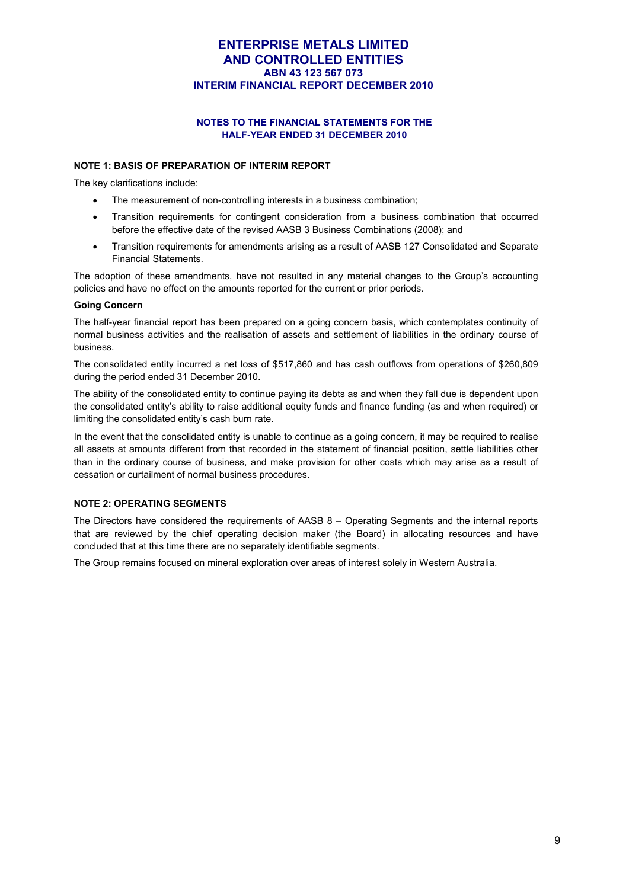# **NOTES TO THE FINANCIAL STATEMENTS FOR THE HALF-YEAR ENDED 31 DECEMBER 2010**

#### **NOTE 1: BASIS OF PREPARATION OF INTERIM REPORT**

The key clarifications include:

- The measurement of non-controlling interests in a business combination;
- Transition requirements for contingent consideration from a business combination that occurred before the effective date of the revised AASB 3 Business Combinations (2008); and
- Transition requirements for amendments arising as a result of AASB 127 Consolidated and Separate Financial Statements.

The adoption of these amendments, have not resulted in any material changes to the Group's accounting policies and have no effect on the amounts reported for the current or prior periods.

#### **Going Concern**

The half-year financial report has been prepared on a going concern basis, which contemplates continuity of normal business activities and the realisation of assets and settlement of liabilities in the ordinary course of business.

The consolidated entity incurred a net loss of \$517,860 and has cash outflows from operations of \$260,809 during the period ended 31 December 2010.

The ability of the consolidated entity to continue paying its debts as and when they fall due is dependent upon the consolidated entity's ability to raise additional equity funds and finance funding (as and when required) or limiting the consolidated entity's cash burn rate.

In the event that the consolidated entity is unable to continue as a going concern, it may be required to realise all assets at amounts different from that recorded in the statement of financial position, settle liabilities other than in the ordinary course of business, and make provision for other costs which may arise as a result of cessation or curtailment of normal business procedures.

#### **NOTE 2: OPERATING SEGMENTS**

The Directors have considered the requirements of AASB 8 – Operating Segments and the internal reports that are reviewed by the chief operating decision maker (the Board) in allocating resources and have concluded that at this time there are no separately identifiable segments.

The Group remains focused on mineral exploration over areas of interest solely in Western Australia.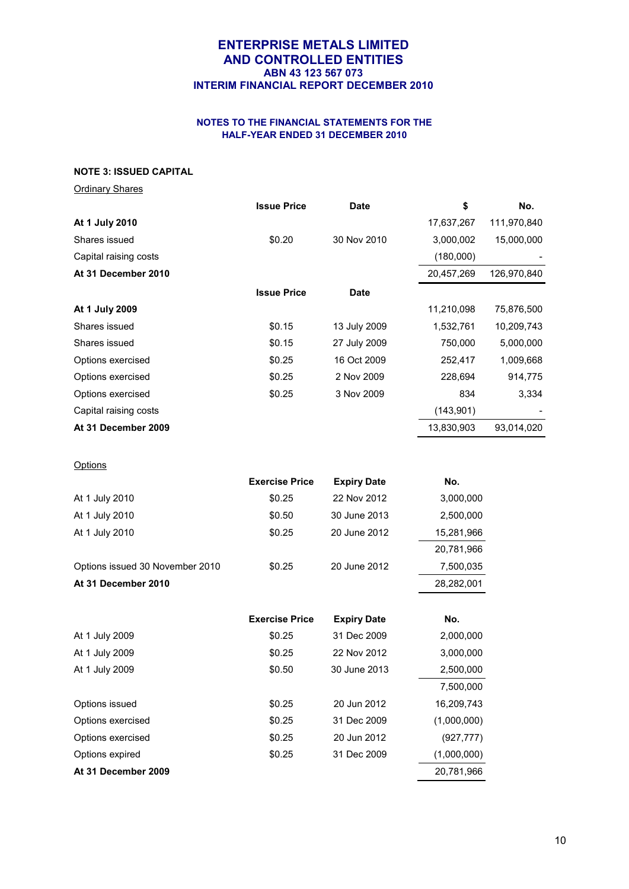# **NOTES TO THE FINANCIAL STATEMENTS FOR THE HALF-YEAR ENDED 31 DECEMBER 2010**

#### **NOTE 3: ISSUED CAPITAL**

| <b>Ordinary Shares</b> |  |
|------------------------|--|
|                        |  |

|                       | <b>Issue Price</b> | <b>Date</b>  | \$         | No.         |
|-----------------------|--------------------|--------------|------------|-------------|
| At 1 July 2010        |                    |              | 17,637,267 | 111,970,840 |
| Shares issued         | \$0.20             | 30 Nov 2010  | 3,000,002  | 15,000,000  |
| Capital raising costs |                    |              | (180,000)  |             |
| At 31 December 2010   |                    |              | 20,457,269 | 126,970,840 |
|                       | <b>Issue Price</b> | <b>Date</b>  |            |             |
| At 1 July 2009        |                    |              | 11,210,098 | 75,876,500  |
| Shares issued         | \$0.15             | 13 July 2009 | 1,532,761  | 10,209,743  |
| Shares issued         | \$0.15             | 27 July 2009 | 750,000    | 5,000,000   |
| Options exercised     | \$0.25             | 16 Oct 2009  | 252,417    | 1,009,668   |
| Options exercised     | \$0.25             | 2 Nov 2009   | 228,694    | 914,775     |
| Options exercised     | \$0.25             | 3 Nov 2009   | 834        | 3,334       |
| Capital raising costs |                    |              | (143, 901) |             |
| At 31 December 2009   |                    |              | 13,830,903 | 93,014,020  |
|                       |                    |              |            |             |

# **Options**

|                                 | <b>Exercise Price</b> | <b>Expiry Date</b> | No.        |
|---------------------------------|-----------------------|--------------------|------------|
| At 1 July 2010                  | \$0.25                | 22 Nov 2012        | 3,000,000  |
| At 1 July 2010                  | \$0.50                | 30 June 2013       | 2,500,000  |
| At 1 July 2010                  | \$0.25                | 20 June 2012       | 15,281,966 |
|                                 |                       |                    | 20,781,966 |
| Options issued 30 November 2010 | \$0.25                | 20 June 2012       | 7,500,035  |
| At 31 December 2010             |                       |                    | 28,282,001 |
|                                 |                       |                    |            |
|                                 | <b>Exercise Price</b> | <b>Expiry Date</b> | No.        |
| At 1 July 2009                  | \$0.25                | 31 Dec 2009        | 2,000,000  |
| At 1 July 2009                  | \$0.25                | 22 Nov 2012        | 3,000,000  |
| At 1 July 2009                  | \$0.50                | 30 June 2013       | 2,500,000  |
|                                 |                       |                    |            |

| At 31 December 2009 |        |             | 20,781,966  |
|---------------------|--------|-------------|-------------|
| Options expired     | \$0.25 | 31 Dec 2009 | (1,000,000) |
| Options exercised   | \$0.25 | 20 Jun 2012 | (927, 777)  |
| Options exercised   | \$0.25 | 31 Dec 2009 | (1,000,000) |
| Options issued      | \$0.25 | 20 Jun 2012 | 16,209,743  |
|                     |        |             | 7,500,000   |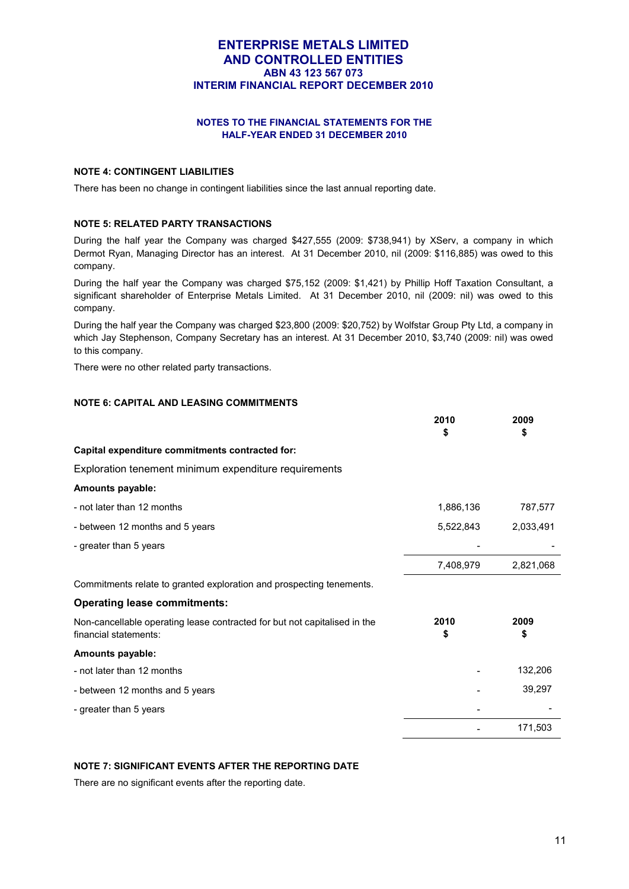# **NOTES TO THE FINANCIAL STATEMENTS FOR THE HALF-YEAR ENDED 31 DECEMBER 2010**

# **NOTE 4: CONTINGENT LIABILITIES**

There has been no change in contingent liabilities since the last annual reporting date.

#### **NOTE 5: RELATED PARTY TRANSACTIONS**

During the half year the Company was charged \$427,555 (2009: \$738,941) by XServ, a company in which Dermot Ryan, Managing Director has an interest. At 31 December 2010, nil (2009: \$116,885) was owed to this company.

During the half year the Company was charged \$75,152 (2009: \$1,421) by Phillip Hoff Taxation Consultant, a significant shareholder of Enterprise Metals Limited. At 31 December 2010, nil (2009: nil) was owed to this company.

During the half year the Company was charged \$23,800 (2009: \$20,752) by Wolfstar Group Pty Ltd, a company in which Jay Stephenson, Company Secretary has an interest. At 31 December 2010, \$3,740 (2009: nil) was owed to this company.

There were no other related party transactions.

# **NOTE 6: CAPITAL AND LEASING COMMITMENTS**

|                                                                                                    | 2010<br>\$ | 2009<br>\$ |
|----------------------------------------------------------------------------------------------------|------------|------------|
| Capital expenditure commitments contracted for:                                                    |            |            |
| Exploration tenement minimum expenditure requirements                                              |            |            |
| Amounts payable:                                                                                   |            |            |
| - not later than 12 months                                                                         | 1,886,136  | 787,577    |
| - between 12 months and 5 years                                                                    | 5,522,843  | 2,033,491  |
| - greater than 5 years                                                                             |            |            |
|                                                                                                    | 7,408,979  | 2,821,068  |
| Commitments relate to granted exploration and prospecting tenements.                               |            |            |
| <b>Operating lease commitments:</b>                                                                |            |            |
| Non-cancellable operating lease contracted for but not capitalised in the<br>financial statements: | 2010<br>\$ | 2009<br>\$ |
| Amounts payable:                                                                                   |            |            |
| - not later than 12 months                                                                         |            | 132,206    |
| - between 12 months and 5 years                                                                    |            | 39,297     |
| - greater than 5 years                                                                             |            |            |
|                                                                                                    |            | 171,503    |

#### **NOTE 7: SIGNIFICANT EVENTS AFTER THE REPORTING DATE**

There are no significant events after the reporting date.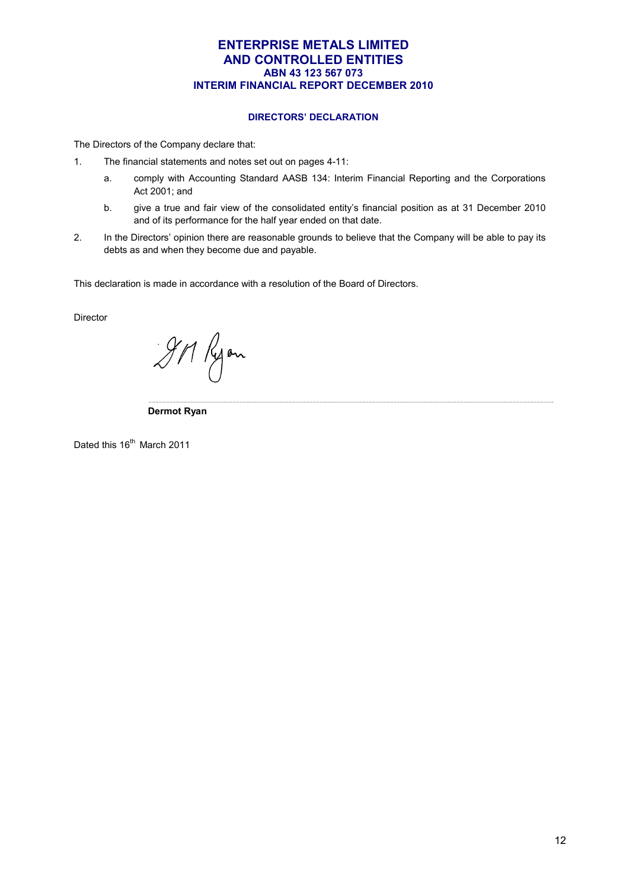#### **DIRECTORS' DECLARATION**

The Directors of the Company declare that:

- 1. The financial statements and notes set out on pages 4-11:
	- a. comply with Accounting Standard AASB 134: Interim Financial Reporting and the Corporations Act 2001; and
	- b. give a true and fair view of the consolidated entity's financial position as at 31 December 2010 and of its performance for the half year ended on that date.

<u> 1989 - Johann Stoff, fransk konger (f. 1989)</u>

2. In the Directors' opinion there are reasonable grounds to believe that the Company will be able to pay its debts as and when they become due and payable.

This declaration is made in accordance with a resolution of the Board of Directors.

Director

gri Ryon

 **Dermot Ryan** 

Dated this 16<sup>th</sup> March 2011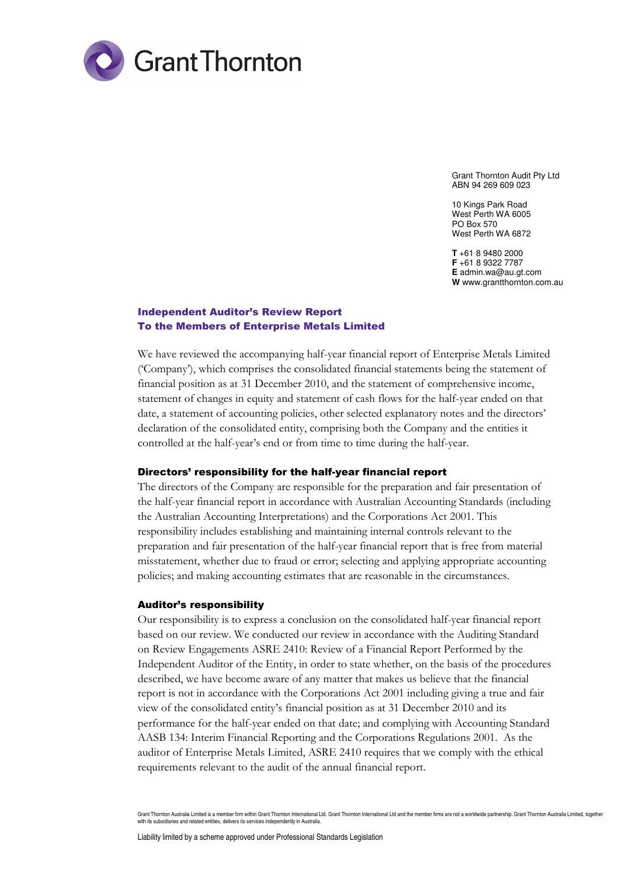

Grant Thornton Audit Pty Ltd ABN 94 269 609 023

10 Kings Park Road West Perth WA 6005 PO Box 570 West Perth WA 6872

**T** +61 8 9480 2000 **F** +61 8 9322 7787 **E** admin.wa@au.gt.com **W** www.grantthornton.com.au

# Independent Auditor's Review Report To the Members of Enterprise Metals Limited

We have reviewed the accompanying half-year financial report of Enterprise Metals Limited ('Company'), which comprises the consolidated financial statements being the statement of financial position as at 31 December 2010, and the statement of comprehensive income, statement of changes in equity and statement of cash flows for the half-year ended on that date, a statement of accounting policies, other selected explanatory notes and the directors' declaration of the consolidated entity, comprising both the Company and the entities it controlled at the half-year's end or from time to time during the half-year.

#### Directors' responsibility for the half-year financial report

The directors of the Company are responsible for the preparation and fair presentation of the half-year financial report in accordance with Australian Accounting Standards (including the Australian Accounting Interpretations) and the Corporations Act 2001. This responsibility includes establishing and maintaining internal controls relevant to the preparation and fair presentation of the half-year financial report that is free from material misstatement, whether due to fraud or error; selecting and applying appropriate accounting policies; and making accounting estimates that are reasonable in the circumstances.

#### Auditor's responsibility

Our responsibility is to express a conclusion on the consolidated half-year financial report based on our review. We conducted our review in accordance with the Auditing Standard on Review Engagements ASRE 2410: Review of a Financial Report Performed by the Independent Auditor of the Entity, in order to state whether, on the basis of the procedures described, we have become aware of any matter that makes us believe that the financial report is not in accordance with the Corporations Act 2001 including giving a true and fair view of the consolidated entity's financial position as at 31 December 2010 and its performance for the half-year ended on that date; and complying with Accounting Standard AASB 134: Interim Financial Reporting and the Corporations Regulations 2001. As the auditor of Enterprise Metals Limited, ASRE 2410 requires that we comply with the ethical requirements relevant to the audit of the annual financial report.

Grant Thornton Australia Limited is a member firm within Grant Thornton International Ltd. Grant Thornton International Ltd and the member firms are not a worldwide partnership. Grant Thornton Australia Limited, together with its subsidiaries and related entities, delivers its services independently in Australia